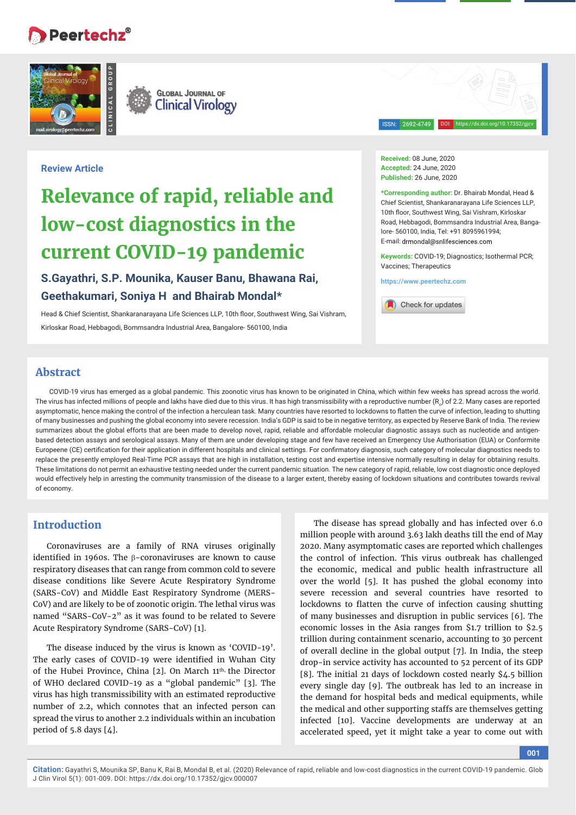# **Peertechz** $^{\circ}$

**Review Article**



**Received:** 08 June, 2020 **Accepted:** 24 June, 2020 **Published:** 26 June, 2020

ISSN: 2692-4749

**\*Corresponding author:** Dr. Bhairab Mondal, Head & Chief Scientist, Shankaranarayana Life Sciences LLP, 10th floor, Southwest Wing, Sai Vishram, Kirloskar Road, Hebbagodi, Bommsandra Industrial Area, Bangalore- 560100, India, Tel: +91 8095961994; E-mail: drmondal@snlifesciences.com

DOI: https://dx.doi.org/10.17352/gjcv

**Keywords:** COVID-19; Diagnostics; Isothermal PCR; Vaccines; Therapeutics

**https://www.peertechz.com**

Check for updates

## **Geethakumari, Soniya H and Bhairab Mondal\***

**low-cost diagnostics in the** 

**current COVID-19 pandemic**

**S.Gayathri, S.P. Mounika, Kauser Banu, Bhawana Rai,** 

Head & Chief Scientist, Shankaranarayana Life Sciences LLP, 10th floor, Southwest Wing, Sai Vishram, Kirloskar Road, Hebbagodi, Bommsandra Industrial Area, Bangalore- 560100, India

**Relevance of rapid, reliable and** 

## **Abstract**

COVID-19 virus has emerged as a global pandemic. This zoonotic virus has known to be originated in China, which within few weeks has spread across the world. The virus has infected millions of people and lakhs have died due to this virus. It has high transmissibility with a reproductive number (R $_{\rm o}$ ) of 2.2. Many cases are reported asymptomatic, hence making the control of the infection a herculean task. Many countries have resorted to lockdowns to flatten the curve of infection, leading to shutting of many businesses and pushing the global economy into severe recession. India's GDP is said to be in negative territory, as expected by Reserve Bank of India. The review summarizes about the global efforts that are been made to develop novel, rapid, reliable and affordable molecular diagnostic assays such as nucleotide and antigenbased detection assays and serological assays. Many of them are under developing stage and few have received an Emergency Use Authorisation (EUA) or Conformite Europeene (CE) certification for their application in different hospitals and clinical settings. For confirmatory diagnosis, such category of molecular diagnostics needs to replace the presently employed Real-Time PCR assays that are high in installation, testing cost and expertise intensive normally resulting in delay for obtaining results. These limitations do not permit an exhaustive testing needed under the current pandemic situation. The new category of rapid, reliable, low cost diagnostic once deployed would effectively help in arresting the community transmission of the disease to a larger extent, thereby easing of lockdown situations and contributes towards revival of economy.

## **Introduction**

Coronaviruses are a family of RNA viruses originally identified in 1960s. The B-coronaviruses are known to cause respiratory diseases that can range from common cold to severe disease conditions like Severe Acute Respiratory Syndrome (SARS-CoV) and Middle East Respiratory Syndrome (MERS-CoV) and are likely to be of zoonotic origin. The lethal virus was named "SARS-CoV-2" as it was found to be related to Severe Acute Respiratory Syndrome (SARS-CoV) [1].

The disease induced by the virus is known as 'COVID-19'. The early cases of COVID-19 were identified in Wuhan City of the Hubei Province, China [2]. On March 11<sup>th,</sup> the Director of WHO declared COVID-19 as a "global pandemic" [3]. The virus has high transmissibility with an estimated reproductive number of 2.2, which connotes that an infected person can spread the virus to another 2.2 individuals within an incubation period of 5.8 days [4].

The disease has spread globally and has infected over 6.0 million people with around 3.63 lakh deaths till the end of May 2020. Many asymptomatic cases are reported which challenges the control of infection. This virus outbreak has challenged the economic, medical and public health infrastructure all over the world [5]. It has pushed the global economy into severe recession and several countries have resorted to lockdowns to flatten the curve of infection causing shutting of many businesses and disruption in public services [6]. The economic losses in the Asia ranges from \$1.7 trillion to \$2.5 trillion during containment scenario, accounting to 30 percent of overall decline in the global output [7]. In India, the steep drop-in service activity has accounted to 52 percent of its GDP [8]. The initial 21 days of lockdown costed nearly \$4.5 billion every single day [9]. The outbreak has led to an increase in the demand for hospital beds and medical equipments, while the medical and other supporting staffs are themselves getting infected [10]. Vaccine developments are underway at an accelerated speed, yet it might take a year to come out with

**001**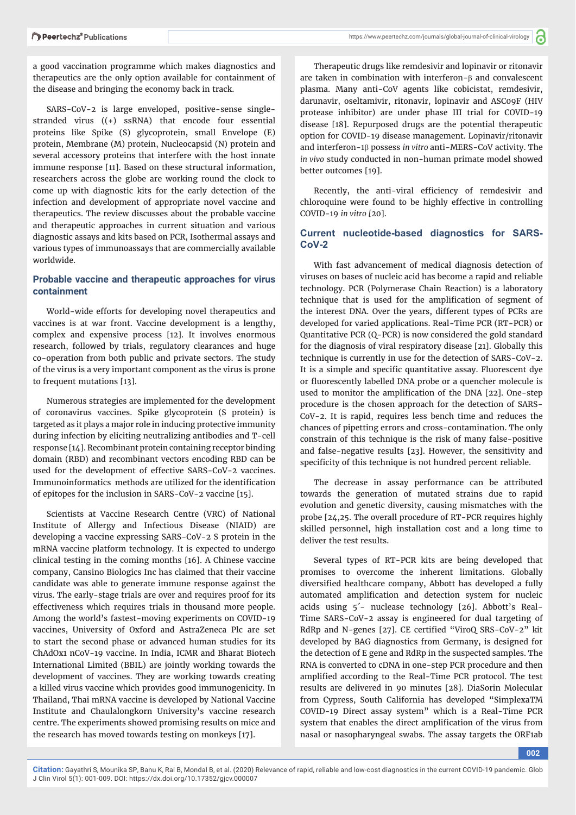a good vaccination programme which makes diagnostics and therapeutics are the only option available for containment of the disease and bringing the economy back in track.

SARS-CoV-2 is large enveloped, positive-sense singlestranded virus ((+) ssRNA) that encode four essential proteins like Spike (S) glycoprotein, small Envelope (E) protein, Membrane (M) protein, Nucleocapsid (N) protein and several accessory proteins that interfere with the host innate immune response [11]. Based on these structural information, researchers across the globe are working round the clock to come up with diagnostic kits for the early detection of the infection and development of appropriate novel vaccine and therapeutics. The review discusses about the probable vaccine and therapeutic approaches in current situation and various diagnostic assays and kits based on PCR, Isothermal assays and various types of immunoassays that are commercially available worldwide.

## **Probable vaccine and therapeutic approaches for virus containment**

World-wide efforts for developing novel therapeutics and vaccines is at war front. Vaccine development is a lengthy, complex and expensive process [12]. It involves enormous research, followed by trials, regulatory clearances and huge co-operation from both public and private sectors. The study of the virus is a very important component as the virus is prone to frequent mutations [13].

Numerous strategies are implemented for the development of coronavirus vaccines. Spike glycoprotein (S protein) is targeted as it plays a major role in inducing protective immunity during infection by eliciting neutralizing antibodies and T-cell response [14]. Recombinant protein containing receptor binding domain (RBD) and recombinant vectors encoding RBD can be used for the development of effective SARS-CoV-2 vaccines. Immunoinformatics methods are utilized for the identification of epitopes for the inclusion in SARS-CoV-2 vaccine [15].

Scientists at Vaccine Research Centre (VRC) of National Institute of Allergy and Infectious Disease (NIAID) are developing a vaccine expressing SARS-CoV-2 S protein in the mRNA vaccine platform technology. It is expected to undergo clinical testing in the coming months [16]. A Chinese vaccine company, Cansino Biologics Inc has claimed that their vaccine candidate was able to generate immune response against the virus. The early-stage trials are over and requires proof for its effectiveness which requires trials in thousand more people. Among the world's fastest-moving experiments on COVID-19 vaccines, University of Oxford and AstraZeneca Plc are set to start the second phase or advanced human studies for its ChAdOx1 nCoV-19 vaccine. In India, ICMR and Bharat Biotech International Limited (BBIL) are jointly working towards the development of vaccines. They are working towards creating a killed virus vaccine which provides good immunogenicity. In Thailand, Thai mRNA vaccine is developed by National Vaccine Institute and Chaulalongkorn University's vaccine research centre. The experiments showed promising results on mice and the research has moved towards testing on monkeys [17].

Therapeutic drugs like remdesivir and lopinavir or ritonavir are taken in combination with interferon- $\beta$  and convalescent plasma. Many anti-CoV agents like cobicistat, remdesivir, darunavir, oseltamivir, ritonavir, lopinavir and ASC09F (HIV protease inhibitor) are under phase III trial for COVID-19 disease [18]. Repurposed drugs are the potential therapeutic option for COVID-19 disease management. Lopinavir/ritonavir and interferon-1<sup>8</sup> possess *in vitro* anti-MERS-CoV activity. The *in vivo* study conducted in non-human primate model showed better outcomes [19].

Recently, the anti-viral efficiency of remdesivir and chloroquine were found to be highly effective in controlling COVID-19 *in vitro [*20].

### **Current nucleotide-based diagnostics for SARS-CoV-2**

With fast advancement of medical diagnosis detection of viruses on bases of nucleic acid has become a rapid and reliable technology. PCR (Polymerase Chain Reaction) is a laboratory technique that is used for the amplification of segment of the interest DNA. Over the years, different types of PCRs are developed for varied applications. Real-Time PCR (RT-PCR) or Quantitative PCR (Q-PCR) is now considered the gold standard for the diagnosis of viral respiratory disease [21]. Globally this technique is currently in use for the detection of SARS-CoV-2. It is a simple and specific quantitative assay. Fluorescent dye or fluorescently labelled DNA probe or a quencher molecule is used to monitor the amplification of the DNA [22]. One-step procedure is the chosen approach for the detection of SARS-CoV-2. It is rapid, requires less bench time and reduces the chances of pipetting errors and cross-contamination. The only constrain of this technique is the risk of many false-positive and false-negative results [23]. However, the sensitivity and specificity of this technique is not hundred percent reliable.

The decrease in assay performance can be attributed towards the generation of mutated strains due to rapid evolution and genetic diversity, causing mismatches with the probe [24,25. The overall procedure of RT-PCR requires highly skilled personnel, high installation cost and a long time to deliver the test results.

Several types of RT-PCR kits are being developed that promises to overcome the inherent limitations. Globally diversified healthcare company, Abbott has developed a fully automated amplification and detection system for nucleic acids using 5´- nuclease technology [26]. Abbott's Real-Time SARS-CoV-2 assay is engineered for dual targeting of RdRp and N-genes [27]. CE certified "ViroQ SRS-CoV-2" kit developed by BAG diagnostics from Germany, is designed for the detection of E gene and RdRp in the suspected samples. The RNA is converted to cDNA in one-step PCR procedure and then amplified according to the Real-Time PCR protocol. The test results are delivered in 90 minutes [28]. DiaSorin Molecular from Cypress, South California has developed "SimplexaTM COVID-19 Direct assay system" which is a Real-Time PCR system that enables the direct amplification of the virus from nasal or nasopharyngeal swabs. The assay targets the ORF1ab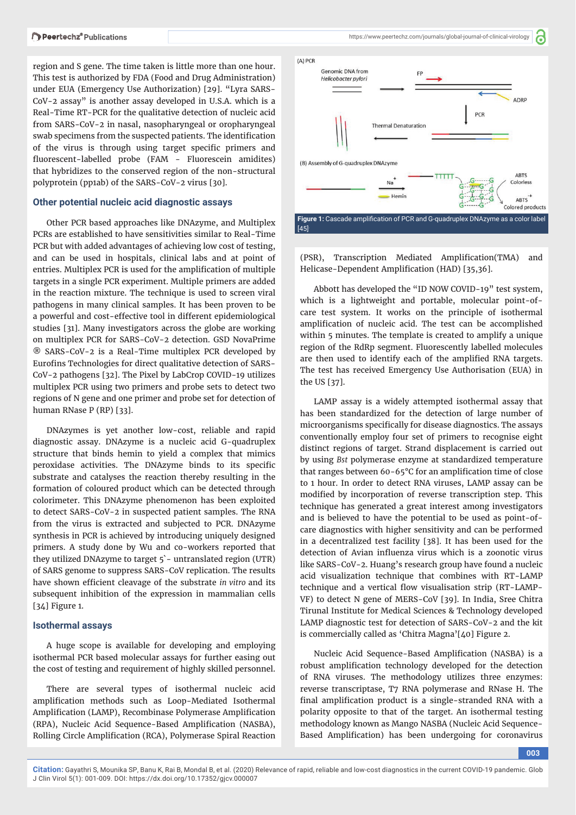region and S gene. The time taken is little more than one hour. This test is authorized by FDA (Food and Drug Administration) under EUA (Emergency Use Authorization) [29]. "Lyra SARS-CoV-2 assay" is another assay developed in U.S.A. which is a Real-Time RT-PCR for the qualitative detection of nucleic acid from SARS-CoV-2 in nasal, nasopharyngeal or oropharyngeal swab specimens from the suspected patients. The identification of the virus is through using target specific primers and fluorescent-labelled probe (FAM - Fluorescein amidites) that hybridizes to the conserved region of the non-structural polyprotein (pp1ab) of the SARS-CoV-2 virus [30].

#### **Other potential nucleic acid diagnostic assays**

Other PCR based approaches like DNAzyme, and Multiplex PCRs are established to have sensitivities similar to Real-Time PCR but with added advantages of achieving low cost of testing, and can be used in hospitals, clinical labs and at point of entries. Multiplex PCR is used for the amplification of multiple targets in a single PCR experiment. Multiple primers are added in the reaction mixture. The technique is used to screen viral pathogens in many clinical samples. It has been proven to be a powerful and cost-effective tool in different epidemiological studies [31]. Many investigators across the globe are working on multiplex PCR for SARS-CoV-2 detection. GSD NovaPrime ® SARS-CoV-2 is a Real-Time multiplex PCR developed by Eurofins Technologies for direct qualitative detection of SARS-CoV-2 pathogens [32]. The Pixel by LabCrop COVID-19 utilizes multiplex PCR using two primers and probe sets to detect two regions of N gene and one primer and probe set for detection of human RNase P (RP) [33].

DNAzymes is yet another low-cost, reliable and rapid diagnostic assay. DNAzyme is a nucleic acid G-quadruplex structure that binds hemin to yield a complex that mimics peroxidase activities. The DNAzyme binds to its specific substrate and catalyses the reaction thereby resulting in the formation of coloured product which can be detected through colorimeter. This DNAzyme phenomenon has been exploited to detect SARS-CoV-2 in suspected patient samples. The RNA from the virus is extracted and subjected to PCR. DNAzyme synthesis in PCR is achieved by introducing uniquely designed primers. A study done by Wu and co-workers reported that they utilized DNAzyme to target 5`- untranslated region (UTR) of SARS genome to suppress SARS-CoV replication. The results have shown efficient cleavage of the substrate *in vitro* and its subsequent inhibition of the expression in mammalian cells [34] Figure 1.

#### **Isothermal assays**

A huge scope is available for developing and employing isothermal PCR based molecular assays for further easing out the cost of testing and requirement of highly skilled personnel.

There are several types of isothermal nucleic acid amplification methods such as Loop-Mediated Isothermal Amplification (LAMP), Recombinase Polymerase Amplification (RPA), Nucleic Acid Sequence-Based Amplification (NASBA), Rolling Circle Amplification (RCA), Polymerase Spiral Reaction

a



(PSR), Transcription Mediated Amplification(TMA) and Helicase-Dependent Amplification (HAD) [35,36].

Abbott has developed the "ID NOW COVID-19" test system, which is a lightweight and portable, molecular point-ofcare test system. It works on the principle of isothermal amplification of nucleic acid. The test can be accomplished within 5 minutes. The template is created to amplify a unique region of the RdRp segment. Fluorescently labelled molecules are then used to identify each of the amplified RNA targets. The test has received Emergency Use Authorisation (EUA) in the US [37].

LAMP assay is a widely attempted isothermal assay that has been standardized for the detection of large number of microorganisms specifically for disease diagnostics. The assays conventionally employ four set of primers to recognise eight distinct regions of target. Strand displacement is carried out by using *Bst* polymerase enzyme at standardized temperature that ranges between  $60-65^{\circ}$ C for an amplification time of close to 1 hour. In order to detect RNA viruses, LAMP assay can be modified by incorporation of reverse transcription step. This technique has generated a great interest among investigators and is believed to have the potential to be used as point-ofcare diagnostics with higher sensitivity and can be performed in a decentralized test facility [38]. It has been used for the detection of Avian influenza virus which is a zoonotic virus like SARS-CoV-2. Huang's research group have found a nucleic acid visualization technique that combines with RT-LAMP technique and a vertical flow visualisation strip (RT-LAMP-VF) to detect N gene of MERS-CoV [39]. In India, Sree Chitra Tirunal Institute for Medical Sciences & Technology developed LAMP diagnostic test for detection of SARS-CoV-2 and the kit is commercially called as 'Chitra Magna'[40] Figure 2.

Nucleic Acid Sequence-Based Amplification (NASBA) is a robust amplification technology developed for the detection of RNA viruses. The methodology utilizes three enzymes: reverse transcriptase, T7 RNA polymerase and RNase H. The final amplification product is a single-stranded RNA with a polarity opposite to that of the target. An isothermal testing methodology known as Mango NASBA (Nucleic Acid Sequence-Based Amplification) has been undergoing for coronavirus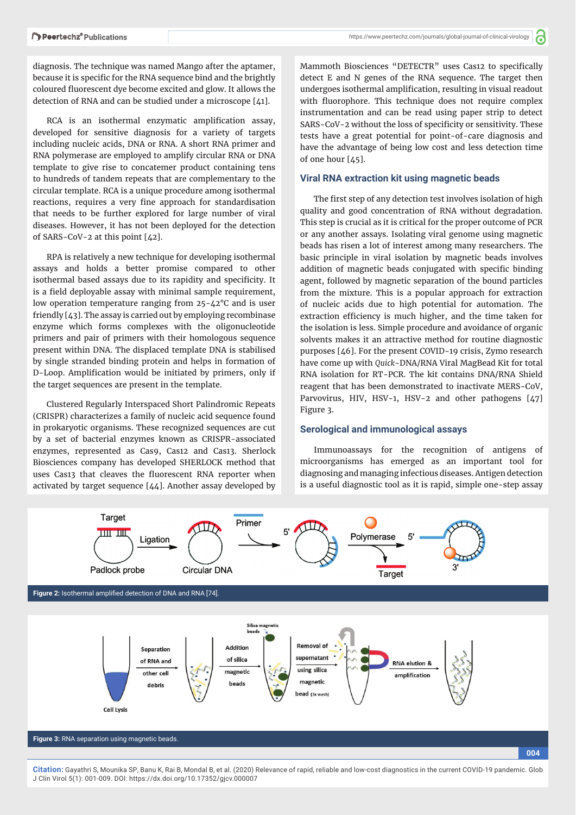diagnosis. The technique was named Mango after the aptamer, because it is specific for the RNA sequence bind and the brightly coloured fluorescent dye become excited and glow. It allows the detection of RNA and can be studied under a microscope [41].

RCA is an isothermal enzymatic amplification assay, developed for sensitive diagnosis for a variety of targets including nucleic acids, DNA or RNA. A short RNA primer and RNA polymerase are employed to amplify circular RNA or DNA template to give rise to concatemer product containing tens to hundreds of tandem repeats that are complementary to the circular template. RCA is a unique procedure among isothermal reactions, requires a very fine approach for standardisation that needs to be further explored for large number of viral diseases. However, it has not been deployed for the detection of SARS-CoV-2 at this point [42].

RPA is relatively a new technique for developing isothermal assays and holds a better promise compared to other isothermal based assays due to its rapidity and specificity. It is a field deployable assay with minimal sample requirement, low operation temperature ranging from 25-42°C and is user friendly [43]. The assay is carried out by employing recombinase enzyme which forms complexes with the oligonucleotide primers and pair of primers with their homologous sequence present within DNA. The displaced template DNA is stabilised by single stranded binding protein and helps in formation of D-Loop. Amplification would be initiated by primers, only if the target sequences are present in the template.

Clustered Regularly Interspaced Short Palindromic Repeats (CRISPR) characterizes a family of nucleic acid sequence found in prokaryotic organisms. These recognized sequences are cut by a set of bacterial enzymes known as CRISPR-associated enzymes, represented as Cas9, Cas12 and Cas13. Sherlock Biosciences company has developed SHERLOCK method that uses Cas13 that cleaves the fluorescent RNA reporter when activated by target sequence [44]. Another assay developed by

Mammoth Biosciences "DETECTR" uses Cas12 to specifically detect E and N genes of the RNA sequence. The target then undergoes isothermal amplification, resulting in visual readout with fluorophore. This technique does not require complex instrumentation and can be read using paper strip to detect SARS-CoV-2 without the loss of specificity or sensitivity. These tests have a great potential for point-of-care diagnosis and have the advantage of being low cost and less detection time of one hour [45].

#### **Viral RNA extraction kit using magnetic beads**

The first step of any detection test involves isolation of high quality and good concentration of RNA without degradation. This step is crucial as it is critical for the proper outcome of PCR or any another assays. Isolating viral genome using magnetic beads has risen a lot of interest among many researchers. The basic principle in viral isolation by magnetic beads involves addition of magnetic beads conjugated with specific binding agent, followed by magnetic separation of the bound particles from the mixture. This is a popular approach for extraction of nucleic acids due to high potential for automation. The extraction efficiency is much higher, and the time taken for the isolation is less. Simple procedure and avoidance of organic solvents makes it an attractive method for routine diagnostic purposes [46]. For the present COVID-19 crisis, Zymo research have come up with *Quick*-DNA/RNA Viral MagBead Kit for total RNA isolation for RT-PCR. The kit contains DNA/RNA Shield reagent that has been demonstrated to inactivate MERS-CoV, Parvovirus, HIV, HSV-1, HSV-2 and other pathogens [47] Figure 3.

#### **Serological and immunological assays**

Immunoassays for the recognition of antigens of microorganisms has emerged as an important tool for diagnosing and managing infectious diseases. Antigen detection is a useful diagnostic tool as it is rapid, simple one-step assay

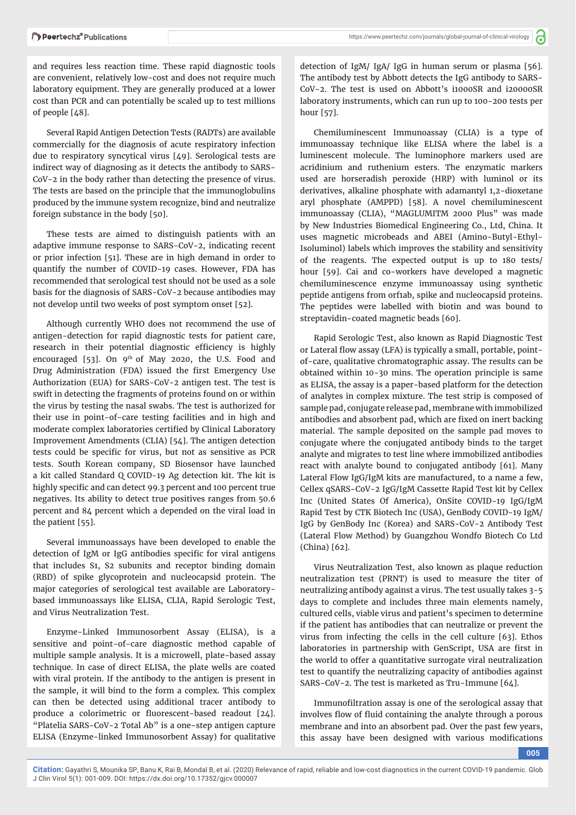and requires less reaction time. These rapid diagnostic tools are convenient, relatively low-cost and does not require much laboratory equipment. They are generally produced at a lower cost than PCR and can potentially be scaled up to test millions of people [48].

Several Rapid Antigen Detection Tests (RADTs) are available commercially for the diagnosis of acute respiratory infection due to respiratory syncytical virus [49]. Serological tests are indirect way of diagnosing as it detects the antibody to SARS-CoV-2 in the body rather than detecting the presence of virus. The tests are based on the principle that the immunoglobulins produced by the immune system recognize, bind and neutralize foreign substance in the body [50].

These tests are aimed to distinguish patients with an adaptive immune response to SARS-CoV-2, indicating recent or prior infection [51]. These are in high demand in order to quantify the number of COVID-19 cases. However, FDA has recommended that serological test should not be used as a sole basis for the diagnosis of SARS-CoV-2 because antibodies may not develop until two weeks of post symptom onset [52].

Although currently WHO does not recommend the use of antigen-detection for rapid diagnostic tests for patient care, research in their potential diagnostic efficiency is highly encouraged [53]. On  $9<sup>th</sup>$  of May 2020, the U.S. Food and Drug Administration (FDA) issued the first Emergency Use Authorization (EUA) for SARS-CoV-2 antigen test. The test is swift in detecting the fragments of proteins found on or within the virus by testing the nasal swabs. The test is authorized for their use in point-of-care testing facilities and in high and moderate complex laboratories certified by Clinical Laboratory Improvement Amendments (CLIA) [54]. The antigen detection tests could be specific for virus, but not as sensitive as PCR tests. South Korean company, SD Biosensor have launched a kit called Standard Q COVID-19 Ag detection kit. The kit is highly specific and can detect 99.3 percent and 100 percent true negatives. Its ability to detect true positives ranges from 50.6 percent and 84 percent which a depended on the viral load in the patient [55].

Several immunoassays have been developed to enable the detection of IgM or IgG antibodies specific for viral antigens that includes S1, S2 subunits and receptor binding domain (RBD) of spike glycoprotein and nucleocapsid protein. The major categories of serological test available are Laboratorybased immunoassays like ELISA, CLIA, Rapid Serologic Test, and Virus Neutralization Test.

Enzyme-Linked Immunosorbent Assay (ELISA), is a sensitive and point-of-care diagnostic method capable of multiple sample analysis. It is a microwell, plate-based assay technique. In case of direct ELISA, the plate wells are coated with viral protein. If the antibody to the antigen is present in the sample, it will bind to the form a complex. This complex can then be detected using additional tracer antibody to produce a colorimetric or fluorescent-based readout [24]. "Platelia SARS-CoV-2 Total Ab" is a one-step antigen capture ELISA (Enzyme-linked Immunosorbent Assay) for qualitative

detection of IgM/ IgA/ IgG in human serum or plasma [56]. The antibody test by Abbott detects the IgG antibody to SARS-CoV-2. The test is used on Abbott's i1000SR and i20000SR laboratory instruments, which can run up to 100-200 tests per hour [57].

Chemiluminescent Immunoassay (CLIA) is a type of immunoassay technique like ELISA where the label is a luminescent molecule. The luminophore markers used are acridinium and ruthenium esters. The enzymatic markers used are horseradish peroxide (HRP) with luminol or its derivatives, alkaline phosphate with adamantyl 1,2-dioxetane aryl phosphate (AMPPD) [58]. A novel chemiluminescent immunoassay (CLIA), "MAGLUMITM 2000 Plus" was made by New Industries Biomedical Engineering Co., Ltd, China. It uses magnetic microbeads and ABEI (Amino-Butyl-Ethyl-Isoluminol) labels which improves the stability and sensitivity of the reagents. The expected output is up to 180 tests/ hour [59]. Cai and co-workers have developed a magnetic chemiluminescence enzyme immunoassay using synthetic peptide antigens from orf1ab, spike and nucleocapsid proteins. The peptides were labelled with biotin and was bound to streptavidin-coated magnetic beads [60].

Rapid Serologic Test, also known as Rapid Diagnostic Test or Lateral flow assay (LFA) is typically a small, portable, pointof-care, qualitative chromatographic assay. The results can be obtained within 10-30 mins. The operation principle is same as ELISA, the assay is a paper-based platform for the detection of analytes in complex mixture. The test strip is composed of sample pad, conjugate release pad, membrane with immobilized antibodies and absorbent pad, which are fixed on inert backing material. The sample deposited on the sample pad moves to conjugate where the conjugated antibody binds to the target analyte and migrates to test line where immobilized antibodies react with analyte bound to conjugated antibody [61]. Many Lateral Flow IgG/IgM kits are manufactured, to a name a few, Cellex qSARS-CoV-2 IgG/IgM Cassette Rapid Test kit by Cellex Inc (United States Of America), OnSite COVID-19 IgG/IgM Rapid Test by CTK Biotech Inc (USA), GenBody COVID-19 IgM/ IgG by GenBody Inc (Korea) and SARS-CoV-2 Antibody Test (Lateral Flow Method) by Guangzhou Wondfo Biotech Co Ltd (China) [62].

Virus Neutralization Test, also known as plaque reduction neutralization test (PRNT) is used to measure the titer of neutralizing antibody against a virus. The test usually takes 3-5 days to complete and includes three main elements namely, cultured cells, viable virus and patient's specimen to determine if the patient has antibodies that can neutralize or prevent the virus from infecting the cells in the cell culture [63]. Ethos laboratories in partnership with GenScript, USA are first in the world to offer a quantitative surrogate viral neutralization test to quantify the neutralizing capacity of antibodies against SARS-CoV-2. The test is marketed as Tru-Immune [64].

Immunofiltration assay is one of the serological assay that involves flow of fluid containing the analyte through a porous membrane and into an absorbent pad. Over the past few years, this assay have been designed with various modifications

**005**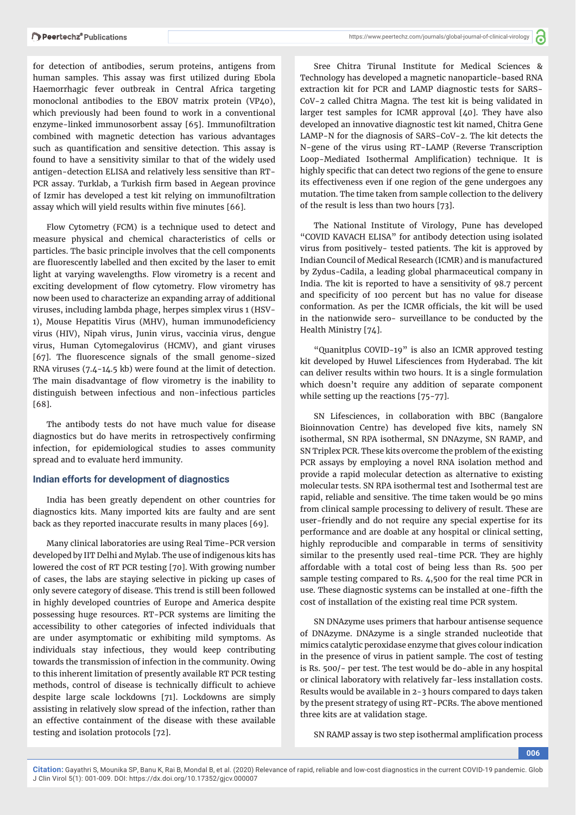for detection of antibodies, serum proteins, antigens from human samples. This assay was first utilized during Ebola Haemorrhagic fever outbreak in Central Africa targeting monoclonal antibodies to the EBOV matrix protein (VP40), which previously had been found to work in a conventional enzyme-linked immunosorbent assay [65]. Immunofiltration combined with magnetic detection has various advantages such as quantification and sensitive detection. This assay is found to have a sensitivity similar to that of the widely used antigen-detection ELISA and relatively less sensitive than RT-PCR assay. Turklab, a Turkish firm based in Aegean province of Izmir has developed a test kit relying on immunofiltration assay which will yield results within five minutes [66].

Flow Cytometry (FCM) is a technique used to detect and measure physical and chemical characteristics of cells or particles. The basic principle involves that the cell components are fluorescently labelled and then excited by the laser to emit light at varying wavelengths. Flow virometry is a recent and exciting development of flow cytometry. Flow virometry has now been used to characterize an expanding array of additional viruses, including lambda phage, herpes simplex virus 1 (HSV-1), Mouse Hepatitis Virus (MHV), human immunodeficiency virus (HIV), Nipah virus, Junin virus, vaccinia virus, dengue virus, Human Cytomegalovirus (HCMV), and giant viruses [67]. The fluorescence signals of the small genome-sized RNA viruses (7.4-14.5 kb) were found at the limit of detection. The main disadvantage of flow virometry is the inability to distinguish between infectious and non-infectious particles [68].

The antibody tests do not have much value for disease diagnostics but do have merits in retrospectively confirming infection, for epidemiological studies to asses community spread and to evaluate herd immunity.

#### **Indian efforts for development of diagnostics**

India has been greatly dependent on other countries for diagnostics kits. Many imported kits are faulty and are sent back as they reported inaccurate results in many places [69].

Many clinical laboratories are using Real Time-PCR version developed by IIT Delhi and Mylab. The use of indigenous kits has lowered the cost of RT PCR testing [70]. With growing number of cases, the labs are staying selective in picking up cases of only severe category of disease. This trend is still been followed in highly developed countries of Europe and America despite possessing huge resources. RT-PCR systems are limiting the accessibility to other categories of infected individuals that are under asymptomatic or exhibiting mild symptoms. As individuals stay infectious, they would keep contributing towards the transmission of infection in the community. Owing to this inherent limitation of presently available RT PCR testing methods, control of disease is technically difficult to achieve despite large scale lockdowns [71]. Lockdowns are simply assisting in relatively slow spread of the infection, rather than an effective containment of the disease with these available testing and isolation protocols [72].

Sree Chitra Tirunal Institute for Medical Sciences & Technology has developed a magnetic nanoparticle-based RNA extraction kit for PCR and LAMP diagnostic tests for SARS-CoV-2 called Chitra Magna. The test kit is being validated in larger test samples for ICMR approval [40]. They have also developed an innovative diagnostic test kit named, Chitra Gene LAMP-N for the diagnosis of SARS-CoV-2. The kit detects the N-gene of the virus using RT-LAMP (Reverse Transcription Loop-Mediated Isothermal Amplification) technique. It is highly specific that can detect two regions of the gene to ensure its effectiveness even if one region of the gene undergoes any mutation. The time taken from sample collection to the delivery of the result is less than two hours [73].

The National Institute of Virology, Pune has developed "COVID KAVACH ELISA" for antibody detection using isolated virus from positively- tested patients. The kit is approved by Indian Council of Medical Research (ICMR) and is manufactured by Zydus-Cadila, a leading global pharmaceutical company in India. The kit is reported to have a sensitivity of 98.7 percent and specificity of 100 percent but has no value for disease conformation. As per the ICMR officials, the kit will be used in the nationwide sero- surveillance to be conducted by the Health Ministry [74].

"Quanitplus COVID-19" is also an ICMR approved testing kit developed by Huwel Lifesciences from Hyderabad. The kit can deliver results within two hours. It is a single formulation which doesn't require any addition of separate component while setting up the reactions [75-77].

SN Lifesciences, in collaboration with BBC (Bangalore Bioinnovation Centre) has developed five kits, namely SN isothermal, SN RPA isothermal, SN DNAzyme, SN RAMP, and SN Triplex PCR. These kits overcome the problem of the existing PCR assays by employing a novel RNA isolation method and provide a rapid molecular detection as alternative to existing molecular tests. SN RPA isothermal test and Isothermal test are rapid, reliable and sensitive. The time taken would be 90 mins from clinical sample processing to delivery of result. These are user-friendly and do not require any special expertise for its performance and are doable at any hospital or clinical setting, highly reproducible and comparable in terms of sensitivity similar to the presently used real-time PCR. They are highly affordable with a total cost of being less than Rs. 500 per sample testing compared to Rs. 4,500 for the real time PCR in use. These diagnostic systems can be installed at one-fifth the cost of installation of the existing real time PCR system.

SN DNAzyme uses primers that harbour antisense sequence of DNAzyme. DNAzyme is a single stranded nucleotide that mimics catalytic peroxidase enzyme that gives colour indication in the presence of virus in patient sample. The cost of testing is Rs. 500/- per test. The test would be do-able in any hospital or clinical laboratory with relatively far-less installation costs. Results would be available in 2-3 hours compared to days taken by the present strategy of using RT-PCRs. The above mentioned three kits are at validation stage.

SN RAMP assay is two step isothermal amplification process

**006**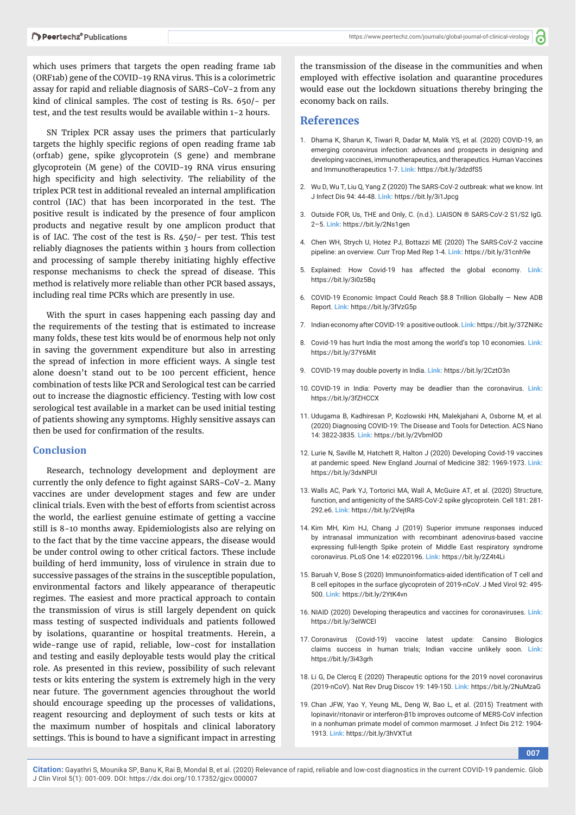a

which uses primers that targets the open reading frame 1ab (ORF1ab) gene of the COVID-19 RNA virus. This is a colorimetric assay for rapid and reliable diagnosis of SARS-CoV-2 from any kind of clinical samples. The cost of testing is Rs. 650/- per test, and the test results would be available within 1-2 hours.

SN Triplex PCR assay uses the primers that particularly targets the highly specific regions of open reading frame 1ab (orf1ab) gene, spike glycoprotein (S gene) and membrane glycoprotein (M gene) of the COVID-19 RNA virus ensuring high specificity and high selectivity. The reliability of the triplex PCR test in additional revealed an internal amplification control (IAC) that has been incorporated in the test. The positive result is indicated by the presence of four amplicon products and negative result by one amplicon product that is of IAC. The cost of the test is Rs. 450/- per test. This test reliably diagnoses the patients within 3 hours from collection and processing of sample thereby initiating highly effective response mechanisms to check the spread of disease. This method is relatively more reliable than other PCR based assays, including real time PCRs which are presently in use.

With the spurt in cases happening each passing day and the requirements of the testing that is estimated to increase many folds, these test kits would be of enormous help not only in saving the government expenditure but also in arresting the spread of infection in more efficient ways. A single test alone doesn't stand out to be 100 percent efficient, hence combination of tests like PCR and Serological test can be carried out to increase the diagnostic efficiency. Testing with low cost serological test available in a market can be used initial testing of patients showing any symptoms. Highly sensitive assays can then be used for confirmation of the results.

#### **Conclusion**

Research, technology development and deployment are currently the only defence to fight against SARS-CoV-2. Many vaccines are under development stages and few are under clinical trials. Even with the best of efforts from scientist across the world, the earliest genuine estimate of getting a vaccine still is 8-10 months away. Epidemiologists also are relying on to the fact that by the time vaccine appears, the disease would be under control owing to other critical factors. These include building of herd immunity, loss of virulence in strain due to successive passages of the strains in the susceptible population, environmental factors and likely appearance of therapeutic regimes. The easiest and more practical approach to contain the transmission of virus is still largely dependent on quick mass testing of suspected individuals and patients followed by isolations, quarantine or hospital treatments. Herein, a wide-range use of rapid, reliable, low-cost for installation and testing and easily deployable tests would play the critical role. As presented in this review, possibility of such relevant tests or kits entering the system is extremely high in the very near future. The government agencies throughout the world should encourage speeding up the processes of validations, reagent resourcing and deployment of such tests or kits at the maximum number of hospitals and clinical laboratory settings. This is bound to have a significant impact in arresting the transmission of the disease in the communities and when employed with effective isolation and quarantine procedures would ease out the lockdown situations thereby bringing the economy back on rails.

## **References**

- 1. Dhama K, Sharun K, Tiwari R, Dadar M, Malik YS, et al. (2020) COVID-19, an emerging coronavirus infection: advances and prospects in designing and developing vaccines, immunotherapeutics, and therapeutics. Human Vaccines and Immunotherapeutics 1-7. **Link:** https://bit.ly/3dzdfS5
- 2. Wu D, Wu T, Liu Q, Yang Z (2020) The SARS-CoV-2 outbreak: what we know. Int J Infect Dis 94: 44-48. **Link:** https://bit.ly/3i1Jpcg
- 3. Outside FOR, Us, THE and Only, C. (n.d.). LIAISON ® SARS-CoV-2 S1/S2 IgG. 2–5. **Link:** https://bit.ly/2Ns1gen
- 4. Chen WH, Strych U, Hotez PJ, Bottazzi ME (2020) The SARS-CoV-2 vaccine pipeline: an overview. Curr Trop Med Rep 1-4. **Link:** https://bit.ly/31cnh9e
- 5. Explained: How Covid-19 has affected the global economy. **Link:** https://bit.ly/3i0z5Bq
- 6. COVID-19 Economic Impact Could Reach \$8.8 Trillion Globally New ADB Report. **Link:** https://bit.ly/3fVzG5p
- 7. Indian economy after COVID-19: a positive outlook. **Link:** https://bit.ly/37ZNiKc
- 8. Covid-19 has hurt India the most among the world's top 10 economies. **Link:** https://bit.ly/37Y6Mit
- 9. COVID-19 may double poverty in India. **Link:** https://bit.ly/2CztO3n
- 10. COVID-19 in India: Poverty may be deadlier than the coronavirus. **Link:** https://bit.ly/3fZHCCX
- 11. Udugama B, Kadhiresan P, Kozlowski HN, Malekjahani A, Osborne M, et al. (2020) Diagnosing COVID-19: The Disease and Tools for Detection. ACS Nano 14: 3822-3835. **Link:** https://bit.ly/2VbmlOD
- 12. Lurie N, Saville M, Hatchett R, Halton J (2020) Developing Covid-19 vaccines at pandemic speed. New England Journal of Medicine 382: 1969-1973. **Link:** https://bit.ly/3dxNPUI
- 13. Walls AC, Park YJ, Tortorici MA, Wall A, McGuire AT, et al. (2020) Structure, function, and antigenicity of the SARS-CoV-2 spike glycoprotein. Cell 181: 281- 292.e6. **Link:** https://bit.ly/2VejtRa
- 14. Kim MH, Kim HJ, Chang J (2019) Superior immune responses induced by intranasal immunization with recombinant adenovirus-based vaccine expressing full-length Spike protein of Middle East respiratory syndrome coronavirus. PLoS One 14: e0220196. **Link:** https://bit.ly/2Z4t4Li
- 15. Baruah V, Bose S (2020) Immunoinformatics-aided identification of T cell and B cell epitopes in the surface glycoprotein of 2019-nCoV. J Med Virol 92: 495- 500. **Link:** https://bit.ly/2YtK4vn
- 16. NIAID (2020) Developing therapeutics and vaccines for coronaviruses. **Link:** https://bit.ly/3eIWCEI
- 17. Coronavirus (Covid-19) vaccine latest update: Cansino Biologics claims success in human trials; Indian vaccine unlikely soon. **Link:**  https://bit.ly/3i43grh
- 18. Li G, De Clercq E (2020) Therapeutic options for the 2019 novel coronavirus (2019-nCoV). Nat Rev Drug Discov 19: 149-150. **Link:** https://bit.ly/2NuMzaG
- 19. Chan JFW, Yao Y, Yeung ML, Deng W, Bao L, et al. (2015) Treatment with lopinavir/ritonavir or interferon-β1b improves outcome of MERS-CoV infection in a nonhuman primate model of common marmoset. J Infect Dis 212: 1904- 1913. **Link:** https://bit.ly/3hVXTut

**007**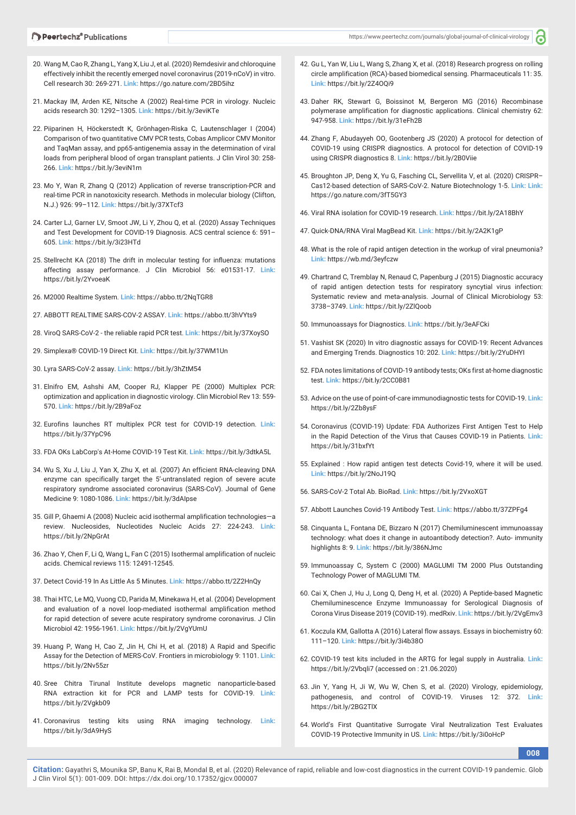്

- 20. Wang M, Cao R, Zhang L, Yang X, Liu J, et al. (2020) Remdesivir and chloroquine effectively inhibit the recently emerged novel coronavirus (2019-nCoV) in vitro. Cell research 30: 269-271. **Link:** https://go.nature.com/2BD5ihz
- 21. Mackay IM, Arden KE, Nitsche A (2002) Real-time PCR in virology. Nucleic acids research 30: 1292–1305. **Link:** https://bit.ly/3eviKTe
- 22. Piiparinen H, Höckerstedt K, Grönhagen-Riska C, Lautenschlager I (2004) Comparison of two quantitative CMV PCR tests, Cobas Amplicor CMV Monitor and TaqMan assay, and pp65-antigenemia assay in the determination of viral loads from peripheral blood of organ transplant patients. J Clin Virol 30: 258- 266. **Link:** https://bit.ly/3eviN1m
- 23. Mo Y, Wan R, Zhang Q (2012) Application of reverse transcription-PCR and real-time PCR in nanotoxicity research. Methods in molecular biology (Clifton, N.J.) 926: 99–112. **Link:** https://bit.ly/37XTcf3
- 24. Carter LJ, Garner LV, Smoot JW, Li Y, Zhou Q, et al. (2020) Assay Techniques and Test Development for COVID-19 Diagnosis. ACS central science 6: 591– 605. **Link:** https://bit.ly/3i23HTd
- 25. Stellrecht KA (2018) The drift in molecular testing for influenza: mutations affecting assay performance. J Clin Microbiol 56: e01531-17. **Link:** https://bit.ly/2YvoeaK
- 26. M2000 Realtime System. **Link:** https://abbo.tt/2NqTGR8
- 27. ABBOTT REALTIME SARS-COV-2 ASSAY. **Link:** https://abbo.tt/3hVYts9
- 28. ViroQ SARS-CoV-2 the reliable rapid PCR test. **Link:** https://bit.ly/37XoySO
- 29. Simplexa® COVID-19 Direct Kit. **Link:** https://bit.ly/37WM1Un
- 30. Lyra SARS-CoV-2 assay. **Link:** https://bit.ly/3hZtM54
- 31. Elnifro EM, Ashshi AM, Cooper RJ, Klapper PE (2000) Multiplex PCR: optimization and application in diagnostic virology. Clin Microbiol Rev 13: 559- 570. **Link:** https://bit.ly/2B9aFoz
- 32. Eurofins launches RT multiplex PCR test for COVID-19 detection. **Link:** https://bit.ly/37YpC96
- 33. FDA OKs LabCorp's At-Home COVID-19 Test Kit. **Link:** https://bit.ly/3dtkA5L
- 34. Wu S, Xu J, Liu J, Yan X, Zhu X, et al. (2007) An efficient RNA-cleaving DNA enzyme can specifically target the 5'-untranslated region of severe acute respiratory syndrome associated coronavirus (SARS-CoV). Journal of Gene Medicine 9: 1080-1086. **Link:** https://bit.ly/3dAIpse
- 35. Gill P, Ghaemi A (2008) Nucleic acid isothermal amplification technologies—a review. Nucleosides, Nucleotides Nucleic Acids 27: 224-243. **Link:** https://bit.ly/2NpGrAt
- 36. Zhao Y, Chen F, Li Q, Wang L, Fan C (2015) Isothermal amplification of nucleic acids. Chemical reviews 115: 12491-12545.
- 37. Detect Covid-19 In As Little As 5 Minutes. **Link:** https://abbo.tt/2Z2HnQy
- 38. Thai HTC, Le MQ, Vuong CD, Parida M, Minekawa H, et al. (2004) Development and evaluation of a novel loop-mediated isothermal amplification method for rapid detection of severe acute respiratory syndrome coronavirus. J Clin Microbiol 42: 1956-1961. **Link:** https://bit.ly/2VgYUmU
- 39. Huang P, Wang H, Cao Z, Jin H, Chi H, et al. (2018) A Rapid and Specific Assay for the Detection of MERS-CoV. Frontiers in microbiology 9: 1101. **Link:** https://bit.ly/2Nv55zr
- 40. Sree Chitra Tirunal Institute develops magnetic nanoparticle-based RNA extraction kit for PCR and LAMP tests for COVID-19. **Link:** https://bit.ly/2Vgkb09
- 41. Coronavirus testing kits using RNA imaging technology. **Link:** https://bit.ly/3dA9HyS
- 42. Gu L, Yan W, Liu L, Wang S, Zhang X, et al. (2018) Research progress on rolling circle amplification (RCA)-based biomedical sensing. Pharmaceuticals 11: 35. **Link:** https://bit.ly/2Z4OQi9
- 43. Daher RK, Stewart G, Boissinot M, Bergeron MG (2016) Recombinase polymerase amplification for diagnostic applications. Clinical chemistry 62: 947-958. **Link:** https://bit.ly/31eFh2B
- 44. Zhang F, Abudayyeh OO, Gootenberg JS (2020) A protocol for detection of COVID-19 using CRISPR diagnostics. A protocol for detection of COVID-19 using CRISPR diagnostics 8. **Link:** https://bit.ly/2B0Viie
- 45. Broughton JP, Deng X, Yu G, Fasching CL, Servellita V, et al. (2020) CRISPR– Cas12-based detection of SARS-CoV-2. Nature Biotechnology 1-5. **Link: Link:** https://go.nature.com/3fT5GY3
- 46. Viral RNA isolation for COVID-19 research. **Link:** https://bit.ly/2A18BhY
- 47. Quick-DNA/RNA Viral MagBead Kit. **Link:** https://bit.ly/2A2K1gP
- 48. What is the role of rapid antigen detection in the workup of viral pneumonia? **Link:** https://wb.md/3eyfczw
- 49. Chartrand C, Tremblay N, Renaud C, Papenburg J (2015) Diagnostic accuracy of rapid antigen detection tests for respiratory syncytial virus infection: Systematic review and meta-analysis. Journal of Clinical Microbiology 53: 3738–3749. **Link:** https://bit.ly/2ZlQoob
- 50. Immunoassays for Diagnostics. **Link:** https://bit.ly/3eAFCki
- 51. Vashist SK (2020) In vitro diagnostic assays for COVID-19: Recent Advances and Emerging Trends. Diagnostics 10: 202. **Link:** https://bit.ly/2YuDHYI
- 52. FDA notes limitations of COVID-19 antibody tests; OKs first at-home diagnostic test. **Link:** https://bit.ly/2CC0B81
- 53. Advice on the use of point-of-care immunodiagnostic tests for COVID-19. **Link:** https://bit.ly/2Zb8ysF
- 54. Coronavirus (COVID-19) Update: FDA Authorizes First Antigen Test to Help in the Rapid Detection of the Virus that Causes COVID-19 in Patients. **Link:** https://bit.ly/31bxfYt
- 55. Explained : How rapid antigen test detects Covid-19, where it will be used. **Link:** https://bit.ly/2NoJ19Q
- 56. SARS-CoV-2 Total Ab. BioRad. **Link:** https://bit.ly/2VxoXGT
- 57. Abbott Launches Covid-19 Antibody Test. **Link:** https://abbo.tt/37ZPFg4
- 58. Cinquanta L, Fontana DE, Bizzaro N (2017) Chemiluminescent immunoassay technology: what does it change in autoantibody detection?. Auto- immunity highlights 8: 9. **Link:** https://bit.ly/386NJmc
- 59. Immunoassay C, System C (2000) MAGLUMI TM 2000 Plus Outstanding Technology Power of MAGLUMI TM.
- 60. Cai X, Chen J, Hu J, Long Q, Deng H, et al. (2020) A Peptide-based Magnetic Chemiluminescence Enzyme Immunoassay for Serological Diagnosis of Corona Virus Disease 2019 (COVID-19). medRxiv. **Link:** https://bit.ly/2VgEmv3
- 61. Koczula KM, Gallotta A (2016) Lateral flow assays. Essays in biochemistry 60: 111–120. **Link:** https://bit.ly/3i4b38O
- 62. COVID-19 test kits included in the ARTG for legal supply in Australia. **Link:** https://bit.ly/2Vbqli7 (accessed on : 21.06.2020)
- 63. Jin Y, Yang H, Ji W, Wu W, Chen S, et al. (2020) Virology, epidemiology, pathogenesis, and control of COVID-19. Viruses 12: 372. **Link:** https://bit.ly/2BG2TlX
- 64. World's First Quantitative Surrogate Viral Neutralization Test Evaluates COVID-19 Protective Immunity in US. **Link:** https://bit.ly/3i0oHcP

**008**